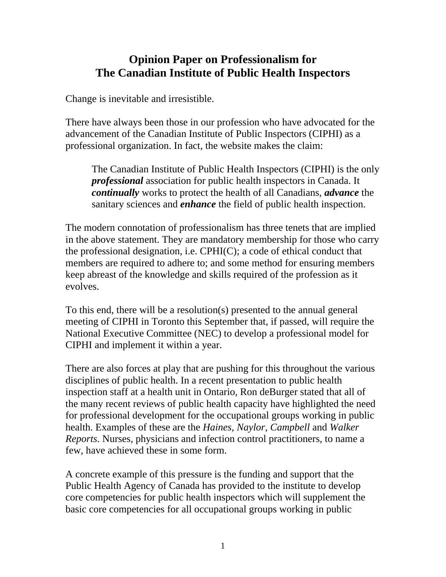## **Opinion Paper on Professionalism for The Canadian Institute of Public Health Inspectors**

Change is inevitable and irresistible.

There have always been those in our profession who have advocated for the advancement of the Canadian Institute of Public Inspectors (CIPHI) as a professional organization. In fact, the website makes the claim:

The Canadian Institute of Public Health Inspectors (CIPHI) is the only *professional* association for public health inspectors in Canada. It *continually* works to protect the health of all Canadians, *advance* the sanitary sciences and *enhance* the field of public health inspection.

The modern connotation of professionalism has three tenets that are implied in the above statement. They are mandatory membership for those who carry the professional designation, i.e. CPHI(C); a code of ethical conduct that members are required to adhere to; and some method for ensuring members keep abreast of the knowledge and skills required of the profession as it evolves.

To this end, there will be a resolution(s) presented to the annual general meeting of CIPHI in Toronto this September that, if passed, will require the National Executive Committee (NEC) to develop a professional model for CIPHI and implement it within a year.

There are also forces at play that are pushing for this throughout the various disciplines of public health. In a recent presentation to public health inspection staff at a health unit in Ontario, Ron deBurger stated that all of the many recent reviews of public health capacity have highlighted the need for professional development for the occupational groups working in public health. Examples of these are the *Haines*, *Naylor*, *Campbell* and *Walker Reports*. Nurses, physicians and infection control practitioners, to name a few, have achieved these in some form.

A concrete example of this pressure is the funding and support that the Public Health Agency of Canada has provided to the institute to develop core competencies for public health inspectors which will supplement the basic core competencies for all occupational groups working in public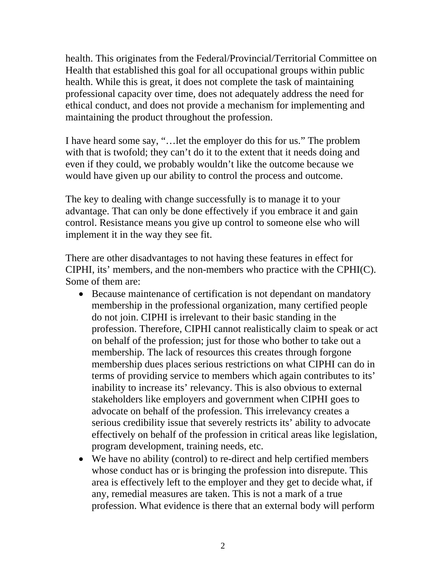health. This originates from the Federal/Provincial/Territorial Committee on Health that established this goal for all occupational groups within public health. While this is great, it does not complete the task of maintaining professional capacity over time, does not adequately address the need for ethical conduct, and does not provide a mechanism for implementing and maintaining the product throughout the profession.

I have heard some say, "…let the employer do this for us." The problem with that is twofold; they can't do it to the extent that it needs doing and even if they could, we probably wouldn't like the outcome because we would have given up our ability to control the process and outcome.

The key to dealing with change successfully is to manage it to your advantage. That can only be done effectively if you embrace it and gain control. Resistance means you give up control to someone else who will implement it in the way they see fit.

There are other disadvantages to not having these features in effect for CIPHI, its' members, and the non-members who practice with the CPHI(C). Some of them are:

- Because maintenance of certification is not dependant on mandatory membership in the professional organization, many certified people do not join. CIPHI is irrelevant to their basic standing in the profession. Therefore, CIPHI cannot realistically claim to speak or act on behalf of the profession; just for those who bother to take out a membership. The lack of resources this creates through forgone membership dues places serious restrictions on what CIPHI can do in terms of providing service to members which again contributes to its' inability to increase its' relevancy. This is also obvious to external stakeholders like employers and government when CIPHI goes to advocate on behalf of the profession. This irrelevancy creates a serious credibility issue that severely restricts its' ability to advocate effectively on behalf of the profession in critical areas like legislation, program development, training needs, etc.
- We have no ability (control) to re-direct and help certified members whose conduct has or is bringing the profession into disrepute. This area is effectively left to the employer and they get to decide what, if any, remedial measures are taken. This is not a mark of a true profession. What evidence is there that an external body will perform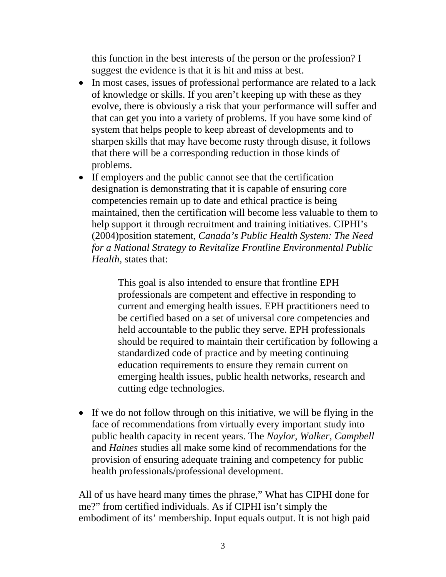this function in the best interests of the person or the profession? I suggest the evidence is that it is hit and miss at best.

- In most cases, issues of professional performance are related to a lack of knowledge or skills. If you aren't keeping up with these as they evolve, there is obviously a risk that your performance will suffer and that can get you into a variety of problems. If you have some kind of system that helps people to keep abreast of developments and to sharpen skills that may have become rusty through disuse, it follows that there will be a corresponding reduction in those kinds of problems.
- If employers and the public cannot see that the certification designation is demonstrating that it is capable of ensuring core competencies remain up to date and ethical practice is being maintained, then the certification will become less valuable to them to help support it through recruitment and training initiatives. CIPHI's (2004)position statement, *Canada's Public Health System: The Need for a National Strategy to Revitalize Frontline Environmental Public Health,* states that:

This goal is also intended to ensure that frontline EPH professionals are competent and effective in responding to current and emerging health issues. EPH practitioners need to be certified based on a set of universal core competencies and held accountable to the public they serve. EPH professionals should be required to maintain their certification by following a standardized code of practice and by meeting continuing education requirements to ensure they remain current on emerging health issues, public health networks, research and cutting edge technologies.

• If we do not follow through on this initiative, we will be flying in the face of recommendations from virtually every important study into public health capacity in recent years. The *Naylor*, *Walker*, *Campbell*  and *Haines* studies all make some kind of recommendations for the provision of ensuring adequate training and competency for public health professionals/professional development.

All of us have heard many times the phrase," What has CIPHI done for me?" from certified individuals. As if CIPHI isn't simply the embodiment of its' membership. Input equals output. It is not high paid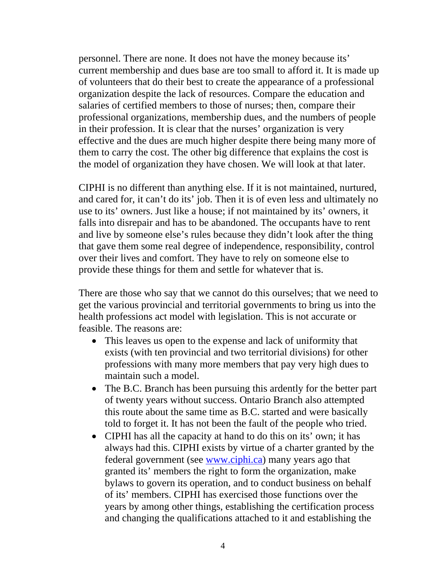personnel. There are none. It does not have the money because its' current membership and dues base are too small to afford it. It is made up of volunteers that do their best to create the appearance of a professional organization despite the lack of resources. Compare the education and salaries of certified members to those of nurses; then, compare their professional organizations, membership dues, and the numbers of people in their profession. It is clear that the nurses' organization is very effective and the dues are much higher despite there being many more of them to carry the cost. The other big difference that explains the cost is the model of organization they have chosen. We will look at that later.

CIPHI is no different than anything else. If it is not maintained, nurtured, and cared for, it can't do its' job. Then it is of even less and ultimately no use to its' owners. Just like a house; if not maintained by its' owners, it falls into disrepair and has to be abandoned. The occupants have to rent and live by someone else's rules because they didn't look after the thing that gave them some real degree of independence, responsibility, control over their lives and comfort. They have to rely on someone else to provide these things for them and settle for whatever that is.

There are those who say that we cannot do this ourselves; that we need to get the various provincial and territorial governments to bring us into the health professions act model with legislation. This is not accurate or feasible. The reasons are:

- This leaves us open to the expense and lack of uniformity that exists (with ten provincial and two territorial divisions) for other professions with many more members that pay very high dues to maintain such a model.
- The B.C. Branch has been pursuing this ardently for the better part of twenty years without success. Ontario Branch also attempted this route about the same time as B.C. started and were basically told to forget it. It has not been the fault of the people who tried.
- CIPHI has all the capacity at hand to do this on its' own; it has always had this. CIPHI exists by virtue of a charter granted by the federal government (see [www.ciphi.ca](http://www.ciphi.ca/)) many years ago that granted its' members the right to form the organization, make bylaws to govern its operation, and to conduct business on behalf of its' members. CIPHI has exercised those functions over the years by among other things, establishing the certification process and changing the qualifications attached to it and establishing the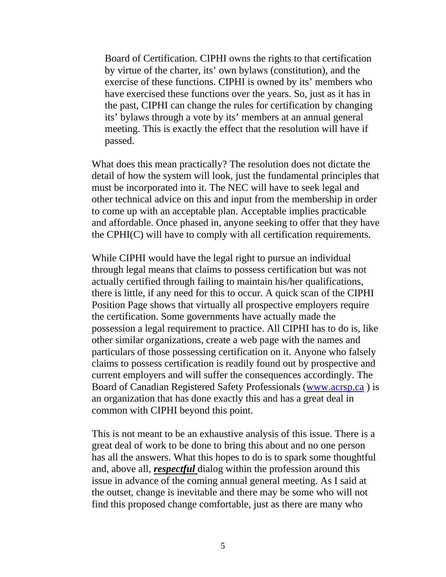Board of Certification. CIPHI owns the rights to that certification by virtue of the charter, its' own bylaws (constitution), and the exercise of these functions. CIPHI is owned by its' members who have exercised these functions over the years. So, just as it has in the past, CIPHI can change the rules for certification by changing its' bylaws through a vote by its' members at an annual general meeting. This is exactly the effect that the resolution will have if passed.

What does this mean practically? The resolution does not dictate the detail of how the system will look, just the fundamental principles that must be incorporated into it. The NEC will have to seek legal and other technical advice on this and input from the membership in order to come up with an acceptable plan. Acceptable implies practicable and affordable. Once phased in, anyone seeking to offer that they have the CPHI(C) will have to comply with all certification requirements.

While CIPHI would have the legal right to pursue an individual through legal means that claims to possess certification but was not actually certified through failing to maintain his/her qualifications, there is little, if any need for this to occur. A quick scan of the CIPHI Position Page shows that virtually all prospective employers require the certification. Some governments have actually made the possession a legal requirement to practice. All CIPHI has to do is, like other similar organizations, create a web page with the names and particulars of those possessing certification on it. Anyone who falsely claims to possess certification is readily found out by prospective and current employers and will suffer the consequences accordingly. The Board of Canadian Registered Safety Professionals ([www.acrsp.ca](http://www.acrsp.ca/) ) is an organization that has done exactly this and has a great deal in common with CIPHI beyond this point.

This is not meant to be an exhaustive analysis of this issue. There is a great deal of work to be done to bring this about and no one person has all the answers. What this hopes to do is to spark some thoughtful and, above all, *respectful* dialog within the profession around this issue in advance of the coming annual general meeting. As I said at the outset, change is inevitable and there may be some who will not find this proposed change comfortable, just as there are many who